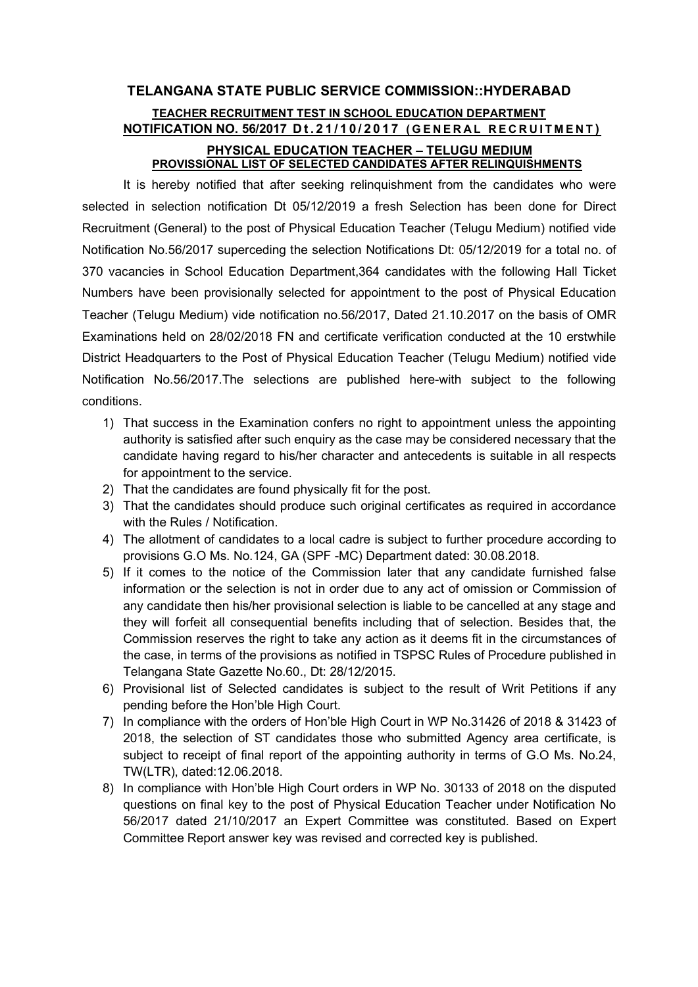# TELANGANA STATE PUBLIC SERVICE COMMISSION::HYDERABAD TEACHER RECRUITMENT TEST IN SCHOOL EDUCATION DEPARTMENT NOTIFICATION NO. 56/2017 Dt. 21/10/2017 (GENERAL RECRUITMENT) PHYSICAL EDUCATION TEACHER – TELUGU MEDIUM PROVISSIONAL LIST OF SELECTED CANDIDATES AFTER RELINQUISHMENTS

It is hereby notified that after seeking relinquishment from the candidates who were selected in selection notification Dt 05/12/2019 a fresh Selection has been done for Direct Recruitment (General) to the post of Physical Education Teacher (Telugu Medium) notified vide Notification No.56/2017 superceding the selection Notifications Dt: 05/12/2019 for a total no. of 370 vacancies in School Education Department,364 candidates with the following Hall Ticket Numbers have been provisionally selected for appointment to the post of Physical Education Teacher (Telugu Medium) vide notification no.56/2017, Dated 21.10.2017 on the basis of OMR Examinations held on 28/02/2018 FN and certificate verification conducted at the 10 erstwhile District Headquarters to the Post of Physical Education Teacher (Telugu Medium) notified vide Notification No.56/2017.The selections are published here-with subject to the following conditions.

- 1) That success in the Examination confers no right to appointment unless the appointing authority is satisfied after such enquiry as the case may be considered necessary that the candidate having regard to his/her character and antecedents is suitable in all respects for appointment to the service.
- 2) That the candidates are found physically fit for the post.
- 3) That the candidates should produce such original certificates as required in accordance with the Rules / Notification.
- 4) The allotment of candidates to a local cadre is subject to further procedure according to provisions G.O Ms. No.124, GA (SPF -MC) Department dated: 30.08.2018.
- 5) If it comes to the notice of the Commission later that any candidate furnished false information or the selection is not in order due to any act of omission or Commission of any candidate then his/her provisional selection is liable to be cancelled at any stage and they will forfeit all consequential benefits including that of selection. Besides that, the Commission reserves the right to take any action as it deems fit in the circumstances of the case, in terms of the provisions as notified in TSPSC Rules of Procedure published in Telangana State Gazette No.60., Dt: 28/12/2015.
- 6) Provisional list of Selected candidates is subject to the result of Writ Petitions if any pending before the Hon'ble High Court.
- 7) In compliance with the orders of Hon'ble High Court in WP No.31426 of 2018 & 31423 of 2018, the selection of ST candidates those who submitted Agency area certificate, is subject to receipt of final report of the appointing authority in terms of G.O Ms. No.24, TW(LTR), dated:12.06.2018.
- 8) In compliance with Hon'ble High Court orders in WP No. 30133 of 2018 on the disputed questions on final key to the post of Physical Education Teacher under Notification No 56/2017 dated 21/10/2017 an Expert Committee was constituted. Based on Expert Committee Report answer key was revised and corrected key is published.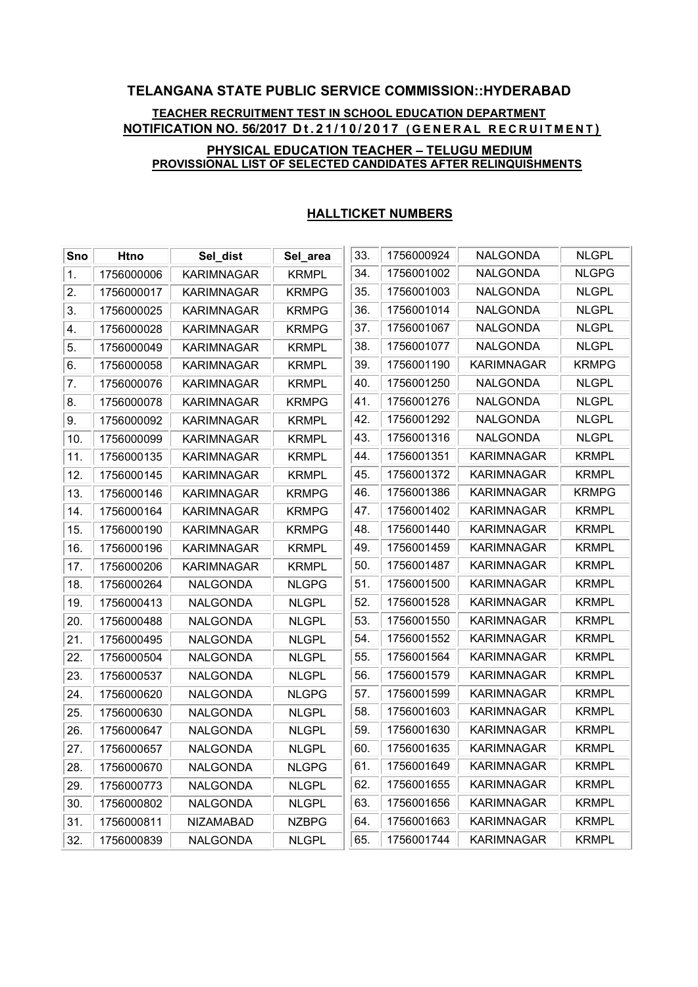# TELANGANA STATE PUBLIC SERVICE COMMISSION::HYDERABAD TEACHER RECRUITMENT TEST IN SCHOOL EDUCATION DEPARTMENT NOTIFICATION NO. 56/2017 Dt.21/10/2017 (GENERAL RECRUITMENT) PHYSICAL EDUCATION TEACHER – TELUGU MEDIUM

# PROVISSIONAL LIST OF SELECTED CANDIDATES AFTER RELINQUISHMENTS

| Sno | <b>Htno</b> | Sel_dist          | Sel_area     | 33. | 1756000924 | NALGONDA          | <b>NLGPL</b> |
|-----|-------------|-------------------|--------------|-----|------------|-------------------|--------------|
| 1.  | 1756000006  | <b>KARIMNAGAR</b> | <b>KRMPL</b> | 34. | 1756001002 | <b>NALGONDA</b>   | <b>NLGPG</b> |
| 2.  | 1756000017  | <b>KARIMNAGAR</b> | <b>KRMPG</b> | 35. | 1756001003 | <b>NALGONDA</b>   | <b>NLGPL</b> |
| 3.  | 1756000025  | <b>KARIMNAGAR</b> | <b>KRMPG</b> | 36. | 1756001014 | <b>NALGONDA</b>   | <b>NLGPL</b> |
| 4.  | 1756000028  | <b>KARIMNAGAR</b> | <b>KRMPG</b> | 37. | 1756001067 | <b>NALGONDA</b>   | <b>NLGPL</b> |
| 5.  | 1756000049  | KARIMNAGAR        | <b>KRMPL</b> | 38. | 1756001077 | <b>NALGONDA</b>   | <b>NLGPL</b> |
| 6.  | 1756000058  | <b>KARIMNAGAR</b> | <b>KRMPL</b> | 39. | 1756001190 | <b>KARIMNAGAR</b> | KRMPG        |
| 7.  | 1756000076  | <b>KARIMNAGAR</b> | <b>KRMPL</b> | 40. | 1756001250 | NALGONDA          | <b>NLGPL</b> |
| 8.  | 1756000078  | <b>KARIMNAGAR</b> | <b>KRMPG</b> | 41. | 1756001276 | <b>NALGONDA</b>   | <b>NLGPL</b> |
| 9.  | 1756000092  | <b>KARIMNAGAR</b> | <b>KRMPL</b> | 42. | 1756001292 | <b>NALGONDA</b>   | <b>NLGPL</b> |
| 10. | 1756000099  | <b>KARIMNAGAR</b> | <b>KRMPL</b> | 43. | 1756001316 | NALGONDA          | <b>NLGPL</b> |
| 11. | 1756000135  | KARIMNAGAR        | <b>KRMPL</b> | 44. | 1756001351 | KARIMNAGAR        | <b>KRMPL</b> |
| 12. | 1756000145  | <b>KARIMNAGAR</b> | <b>KRMPL</b> | 45. | 1756001372 | <b>KARIMNAGAR</b> | <b>KRMPL</b> |
| 13. | 1756000146  | <b>KARIMNAGAR</b> | <b>KRMPG</b> | 46. | 1756001386 | <b>KARIMNAGAR</b> | KRMPG        |
| 14. | 1756000164  | KARIMNAGAR        | <b>KRMPG</b> | 47. | 1756001402 | <b>KARIMNAGAR</b> | <b>KRMPL</b> |
| 15. | 1756000190  | KARIMNAGAR        | <b>KRMPG</b> | 48. | 1756001440 | <b>KARIMNAGAR</b> | <b>KRMPL</b> |
| 16. | 1756000196  | <b>KARIMNAGAR</b> | <b>KRMPL</b> | 49. | 1756001459 | <b>KARIMNAGAR</b> | <b>KRMPL</b> |
| 17. | 1756000206  | <b>KARIMNAGAR</b> | <b>KRMPL</b> | 50. | 1756001487 | <b>KARIMNAGAR</b> | <b>KRMPL</b> |
| 18. | 1756000264  | NALGONDA          | <b>NLGPG</b> | 51. | 1756001500 | KARIMNAGAR        | <b>KRMPL</b> |
| 19. | 1756000413  | NALGONDA          | <b>NLGPL</b> | 52. | 1756001528 | <b>KARIMNAGAR</b> | <b>KRMPL</b> |
| 20. | 1756000488  | <b>NALGONDA</b>   | <b>NLGPL</b> | 53. | 1756001550 | <b>KARIMNAGAR</b> | <b>KRMPL</b> |
| 21. | 1756000495  | NALGONDA          | <b>NLGPL</b> | 54. | 1756001552 | <b>KARIMNAGAR</b> | <b>KRMPL</b> |
| 22. | 1756000504  | NALGONDA          | <b>NLGPL</b> | 55. | 1756001564 | <b>KARIMNAGAR</b> | <b>KRMPL</b> |
| 23. | 1756000537  | NALGONDA          | <b>NLGPL</b> | 56. | 1756001579 | <b>KARIMNAGAR</b> | <b>KRMPL</b> |
| 24. | 1756000620  | NALGONDA          | <b>NLGPG</b> | 57. | 1756001599 | KARIMNAGAR        | <b>KRMPL</b> |
| 25. | 1756000630  | <b>NALGONDA</b>   | <b>NLGPL</b> | 58. | 1756001603 | <b>KARIMNAGAR</b> | <b>KRMPL</b> |
| 26. | 1756000647  | NALGONDA          | <b>NLGPL</b> | 59. | 1756001630 | KARIMNAGAR        | <b>KRMPL</b> |
| 27. | 1756000657  | NALGONDA          | <b>NLGPL</b> | 60. | 1756001635 | KARIMNAGAR        | <b>KRMPL</b> |
| 28. | 1756000670  | <b>NALGONDA</b>   | <b>NLGPG</b> | 61. | 1756001649 | <b>KARIMNAGAR</b> | <b>KRMPL</b> |
| 29. | 1756000773  | <b>NALGONDA</b>   | <b>NLGPL</b> | 62. | 1756001655 | <b>KARIMNAGAR</b> | <b>KRMPL</b> |
| 30. | 1756000802  | NALGONDA          | <b>NLGPL</b> | 63. | 1756001656 | <b>KARIMNAGAR</b> | <b>KRMPL</b> |
| 31. | 1756000811  | <b>NIZAMABAD</b>  | <b>NZBPG</b> | 64. | 1756001663 | KARIMNAGAR        | <b>KRMPL</b> |
| 32. | 1756000839  | <b>NALGONDA</b>   | <b>NLGPL</b> | 65. | 1756001744 | KARIMNAGAR        | <b>KRMPL</b> |

### HALLTICKET NUMBERS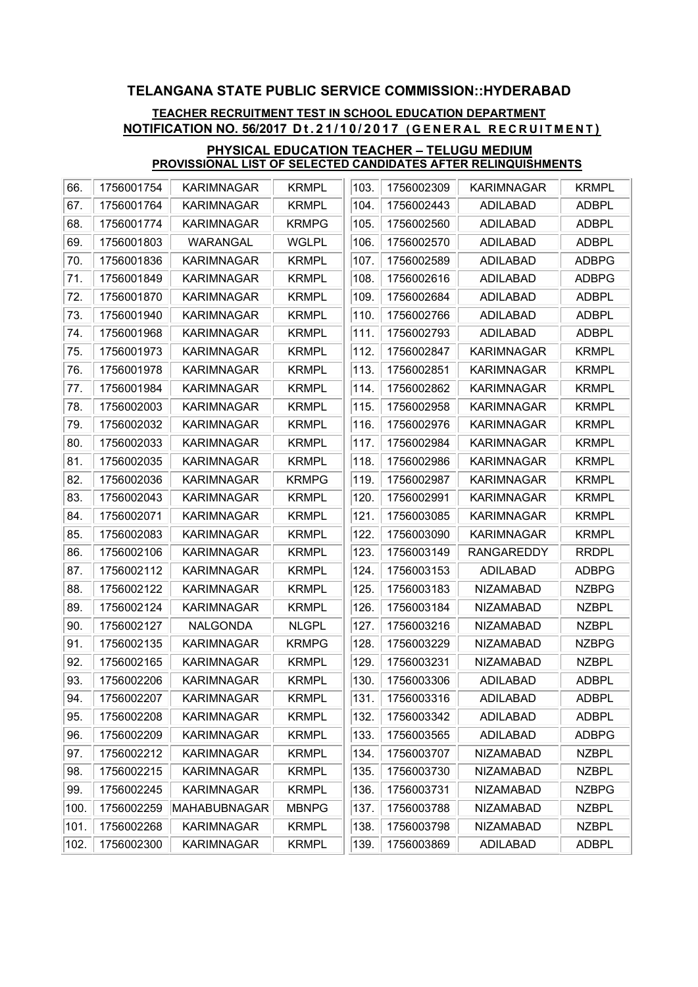## TEACHER RECRUITMENT TEST IN SCHOOL EDUCATION DEPARTMENT NOTIFICATION NO. 56/2017 Dt.21/10/2017 (GENERAL RECRUITMENT)

| 66.  | 1756001754 | <b>KARIMNAGAR</b> | <b>KRMPL</b> | 103. | 1756002309 | <b>KARIMNAGAR</b> | <b>KRMPL</b> |
|------|------------|-------------------|--------------|------|------------|-------------------|--------------|
| 67.  | 1756001764 | KARIMNAGAR        | <b>KRMPL</b> | 104. | 1756002443 | ADILABAD          | <b>ADBPL</b> |
| 68.  | 1756001774 | <b>KARIMNAGAR</b> | <b>KRMPG</b> | 105. | 1756002560 | <b>ADILABAD</b>   | <b>ADBPL</b> |
| 69.  | 1756001803 | WARANGAL          | <b>WGLPL</b> | 106. | 1756002570 | ADILABAD          | <b>ADBPL</b> |
| 70.  | 1756001836 | <b>KARIMNAGAR</b> | <b>KRMPL</b> | 107. | 1756002589 | <b>ADILABAD</b>   | <b>ADBPG</b> |
| 71.  | 1756001849 | <b>KARIMNAGAR</b> | <b>KRMPL</b> | 108. | 1756002616 | <b>ADILABAD</b>   | <b>ADBPG</b> |
| 72.  | 1756001870 | <b>KARIMNAGAR</b> | <b>KRMPL</b> | 109. | 1756002684 | ADILABAD          | <b>ADBPL</b> |
| 73.  | 1756001940 | <b>KARIMNAGAR</b> | <b>KRMPL</b> | 110. | 1756002766 | <b>ADILABAD</b>   | <b>ADBPL</b> |
| 74.  | 1756001968 | <b>KARIMNAGAR</b> | <b>KRMPL</b> | 111. | 1756002793 | ADILABAD          | <b>ADBPL</b> |
| 75.  | 1756001973 | <b>KARIMNAGAR</b> | <b>KRMPL</b> | 112. | 1756002847 | <b>KARIMNAGAR</b> | <b>KRMPL</b> |
| 76.  | 1756001978 | <b>KARIMNAGAR</b> | <b>KRMPL</b> | 113. | 1756002851 | <b>KARIMNAGAR</b> | <b>KRMPL</b> |
| 77.  | 1756001984 | <b>KARIMNAGAR</b> | <b>KRMPL</b> | 114. | 1756002862 | <b>KARIMNAGAR</b> | <b>KRMPL</b> |
| 78.  | 1756002003 | <b>KARIMNAGAR</b> | <b>KRMPL</b> | 115. | 1756002958 | <b>KARIMNAGAR</b> | <b>KRMPL</b> |
| 79.  | 1756002032 | <b>KARIMNAGAR</b> | <b>KRMPL</b> | 116. | 1756002976 | <b>KARIMNAGAR</b> | <b>KRMPL</b> |
| 80.  | 1756002033 | KARIMNAGAR        | <b>KRMPL</b> | 117. | 1756002984 | <b>KARIMNAGAR</b> | <b>KRMPL</b> |
| 81.  | 1756002035 | <b>KARIMNAGAR</b> | <b>KRMPL</b> | 118. | 1756002986 | <b>KARIMNAGAR</b> | <b>KRMPL</b> |
| 82.  | 1756002036 | <b>KARIMNAGAR</b> | <b>KRMPG</b> | 119. | 1756002987 | <b>KARIMNAGAR</b> | <b>KRMPL</b> |
| 83.  | 1756002043 | <b>KARIMNAGAR</b> | <b>KRMPL</b> | 120. | 1756002991 | <b>KARIMNAGAR</b> | <b>KRMPL</b> |
| 84.  | 1756002071 | <b>KARIMNAGAR</b> | <b>KRMPL</b> | 121. | 1756003085 | <b>KARIMNAGAR</b> | <b>KRMPL</b> |
| 85.  | 1756002083 | KARIMNAGAR        | <b>KRMPL</b> | 122. | 1756003090 | <b>KARIMNAGAR</b> | <b>KRMPL</b> |
| 86.  | 1756002106 | <b>KARIMNAGAR</b> | <b>KRMPL</b> | 123. | 1756003149 | <b>RANGAREDDY</b> | <b>RRDPL</b> |
| 87.  | 1756002112 | <b>KARIMNAGAR</b> | <b>KRMPL</b> | 124. | 1756003153 | <b>ADILABAD</b>   | <b>ADBPG</b> |
| 88.  | 1756002122 | <b>KARIMNAGAR</b> | <b>KRMPL</b> | 125. | 1756003183 | <b>NIZAMABAD</b>  | <b>NZBPG</b> |
| 89.  | 1756002124 | <b>KARIMNAGAR</b> | <b>KRMPL</b> | 126. | 1756003184 | <b>NIZAMABAD</b>  | <b>NZBPL</b> |
| 90.  | 1756002127 | <b>NALGONDA</b>   | <b>NLGPL</b> | 127. | 1756003216 | <b>NIZAMABAD</b>  | <b>NZBPL</b> |
| 91.  | 1756002135 | <b>KARIMNAGAR</b> | <b>KRMPG</b> | 128. | 1756003229 | <b>NIZAMABAD</b>  | <b>NZBPG</b> |
| 92.  | 1756002165 | <b>KARIMNAGAR</b> | <b>KRMPL</b> | 129. | 1756003231 | <b>NIZAMABAD</b>  | <b>NZBPL</b> |
| 93.  | 1756002206 | <b>KARIMNAGAR</b> | <b>KRMPL</b> | 130. | 1756003306 | <b>ADILABAD</b>   | <b>ADBPL</b> |
| 94.  | 1756002207 | <b>KARIMNAGAR</b> | <b>KRMPL</b> | 131. | 1756003316 | <b>ADILABAD</b>   | <b>ADBPL</b> |
| 95.  | 1756002208 | <b>KARIMNAGAR</b> | <b>KRMPL</b> | 132. | 1756003342 | ADILABAD          | <b>ADBPL</b> |
| 96.  | 1756002209 | <b>KARIMNAGAR</b> | <b>KRMPL</b> | 133. | 1756003565 | ADILABAD          | <b>ADBPG</b> |
| 97.  | 1756002212 | KARIMNAGAR        | <b>KRMPL</b> | 134. | 1756003707 | <b>NIZAMABAD</b>  | <b>NZBPL</b> |
| 98.  | 1756002215 | <b>KARIMNAGAR</b> | <b>KRMPL</b> | 135. | 1756003730 | <b>NIZAMABAD</b>  | <b>NZBPL</b> |
| 99.  | 1756002245 | <b>KARIMNAGAR</b> | <b>KRMPL</b> | 136. | 1756003731 | <b>NIZAMABAD</b>  | <b>NZBPG</b> |
| 100. | 1756002259 | MAHABUBNAGAR      | <b>MBNPG</b> | 137. | 1756003788 | <b>NIZAMABAD</b>  | <b>NZBPL</b> |
| 101. | 1756002268 | <b>KARIMNAGAR</b> | <b>KRMPL</b> | 138. | 1756003798 | <b>NIZAMABAD</b>  | <b>NZBPL</b> |
| 102. | 1756002300 | <b>KARIMNAGAR</b> | <b>KRMPL</b> | 139. | 1756003869 | ADILABAD          | <b>ADBPL</b> |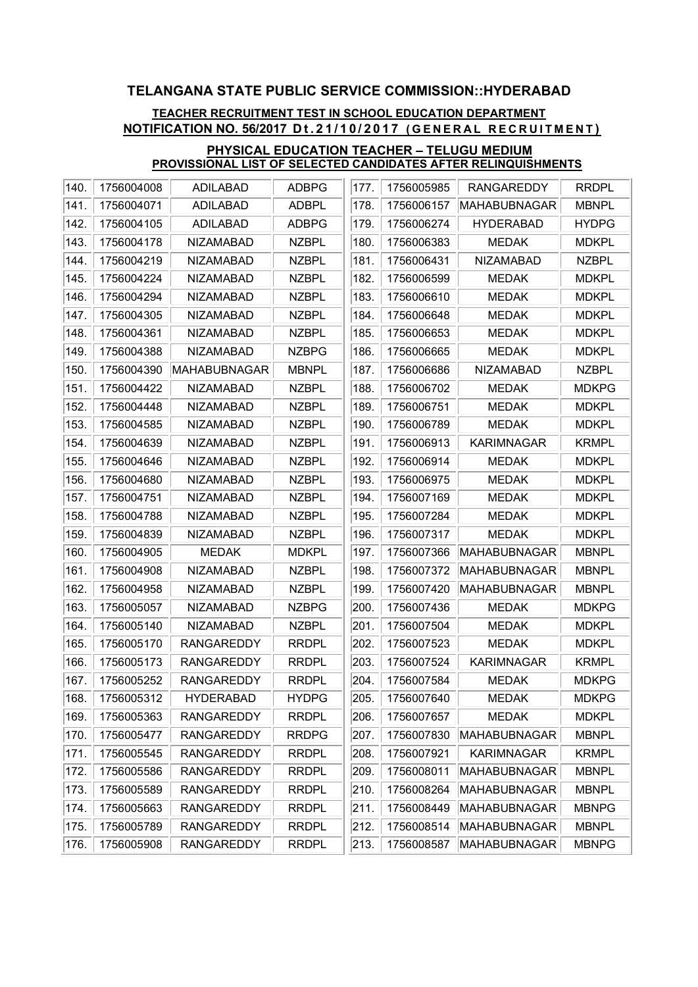## TEACHER RECRUITMENT TEST IN SCHOOL EDUCATION DEPARTMENT NOTIFICATION NO. 56/2017 Dt.21/10/2017 (GENERAL RECRUITMENT)

| 140. | 1756004008 | <b>ADILABAD</b>     | <b>ADBPG</b> | 177. | 1756005985 | <b>RANGAREDDY</b> | <b>RRDPL</b> |
|------|------------|---------------------|--------------|------|------------|-------------------|--------------|
| 141. | 1756004071 | <b>ADILABAD</b>     | <b>ADBPL</b> | 178. | 1756006157 | MAHABUBNAGAR      | <b>MBNPL</b> |
| 142. | 1756004105 | <b>ADILABAD</b>     | <b>ADBPG</b> | 179. | 1756006274 | <b>HYDERABAD</b>  | <b>HYDPG</b> |
| 143. | 1756004178 | <b>NIZAMABAD</b>    | <b>NZBPL</b> | 180. | 1756006383 | <b>MEDAK</b>      | <b>MDKPL</b> |
| 144. | 1756004219 | <b>NIZAMABAD</b>    | <b>NZBPL</b> | 181. | 1756006431 | <b>NIZAMABAD</b>  | <b>NZBPL</b> |
| 145. | 1756004224 | <b>NIZAMABAD</b>    | <b>NZBPL</b> | 182. | 1756006599 | <b>MEDAK</b>      | <b>MDKPL</b> |
| 146. | 1756004294 | <b>NIZAMABAD</b>    | <b>NZBPL</b> | 183. | 1756006610 | <b>MEDAK</b>      | <b>MDKPL</b> |
| 147. | 1756004305 | <b>NIZAMABAD</b>    | <b>NZBPL</b> | 184. | 1756006648 | <b>MEDAK</b>      | <b>MDKPL</b> |
| 148. | 1756004361 | <b>NIZAMABAD</b>    | <b>NZBPL</b> | 185. | 1756006653 | <b>MEDAK</b>      | <b>MDKPL</b> |
| 149. | 1756004388 | <b>NIZAMABAD</b>    | <b>NZBPG</b> | 186. | 1756006665 | <b>MEDAK</b>      | <b>MDKPL</b> |
| 150. | 1756004390 | <b>MAHABUBNAGAR</b> | <b>MBNPL</b> | 187. | 1756006686 | <b>NIZAMABAD</b>  | <b>NZBPL</b> |
| 151. | 1756004422 | <b>NIZAMABAD</b>    | <b>NZBPL</b> | 188. | 1756006702 | <b>MEDAK</b>      | <b>MDKPG</b> |
| 152. | 1756004448 | <b>NIZAMABAD</b>    | <b>NZBPL</b> | 189. | 1756006751 | <b>MEDAK</b>      | <b>MDKPL</b> |
| 153. | 1756004585 | <b>NIZAMABAD</b>    | <b>NZBPL</b> | 190. | 1756006789 | <b>MEDAK</b>      | <b>MDKPL</b> |
| 154. | 1756004639 | <b>NIZAMABAD</b>    | <b>NZBPL</b> | 191. | 1756006913 | <b>KARIMNAGAR</b> | <b>KRMPL</b> |
| 155. | 1756004646 | <b>NIZAMABAD</b>    | <b>NZBPL</b> | 192. | 1756006914 | <b>MEDAK</b>      | <b>MDKPL</b> |
| 156. | 1756004680 | <b>NIZAMABAD</b>    | <b>NZBPL</b> | 193. | 1756006975 | <b>MEDAK</b>      | <b>MDKPL</b> |
| 157. | 1756004751 | <b>NIZAMABAD</b>    | <b>NZBPL</b> | 194. | 1756007169 | <b>MEDAK</b>      | <b>MDKPL</b> |
| 158. | 1756004788 | <b>NIZAMABAD</b>    | <b>NZBPL</b> | 195. | 1756007284 | <b>MEDAK</b>      | <b>MDKPL</b> |
| 159. | 1756004839 | <b>NIZAMABAD</b>    | <b>NZBPL</b> | 196. | 1756007317 | <b>MEDAK</b>      | <b>MDKPL</b> |
| 160. | 1756004905 | <b>MEDAK</b>        | <b>MDKPL</b> | 197. | 1756007366 | MAHABUBNAGAR      | <b>MBNPL</b> |
| 161. | 1756004908 | <b>NIZAMABAD</b>    | <b>NZBPL</b> | 198. | 1756007372 | MAHABUBNAGAR      | <b>MBNPL</b> |
| 162. | 1756004958 | <b>NIZAMABAD</b>    | <b>NZBPL</b> | 199. | 1756007420 | MAHABUBNAGAR      | <b>MBNPL</b> |
| 163. | 1756005057 | <b>NIZAMABAD</b>    | <b>NZBPG</b> | 200. | 1756007436 | <b>MEDAK</b>      | <b>MDKPG</b> |
| 164. | 1756005140 | <b>NIZAMABAD</b>    | <b>NZBPL</b> | 201. | 1756007504 | <b>MEDAK</b>      | <b>MDKPL</b> |
| 165. | 1756005170 | <b>RANGAREDDY</b>   | <b>RRDPL</b> | 202. | 1756007523 | <b>MEDAK</b>      | <b>MDKPL</b> |
| 166. | 1756005173 | <b>RANGAREDDY</b>   | <b>RRDPL</b> | 203. | 1756007524 | <b>KARIMNAGAR</b> | <b>KRMPL</b> |
| 167. | 1756005252 | <b>RANGAREDDY</b>   | <b>RRDPL</b> | 204. | 1756007584 | <b>MEDAK</b>      | <b>MDKPG</b> |
| 168. | 1756005312 | <b>HYDERABAD</b>    | <b>HYDPG</b> | 205. | 1756007640 | <b>MEDAK</b>      | <b>MDKPG</b> |
| 169. | 1756005363 | <b>RANGAREDDY</b>   | <b>RRDPL</b> | 206. | 1756007657 | <b>MEDAK</b>      | <b>MDKPL</b> |
| 170. | 1756005477 | <b>RANGAREDDY</b>   | <b>RRDPG</b> | 207. | 1756007830 | MAHABUBNAGAR      | <b>MBNPL</b> |
| 171. | 1756005545 | <b>RANGAREDDY</b>   | <b>RRDPL</b> | 208. | 1756007921 | <b>KARIMNAGAR</b> | <b>KRMPL</b> |
| 172. | 1756005586 | <b>RANGAREDDY</b>   | <b>RRDPL</b> | 209. | 1756008011 | MAHABUBNAGAR      | <b>MBNPL</b> |
| 173. | 1756005589 | <b>RANGAREDDY</b>   | <b>RRDPL</b> | 210. | 1756008264 | MAHABUBNAGAR      | <b>MBNPL</b> |
| 174. | 1756005663 | <b>RANGAREDDY</b>   | <b>RRDPL</b> | 211. | 1756008449 | MAHABUBNAGAR      | <b>MBNPG</b> |
| 175. | 1756005789 | <b>RANGAREDDY</b>   | <b>RRDPL</b> | 212. | 1756008514 | MAHABUBNAGAR      | <b>MBNPL</b> |
| 176. | 1756005908 | <b>RANGAREDDY</b>   | <b>RRDPL</b> | 213. | 1756008587 | MAHABUBNAGAR      | <b>MBNPG</b> |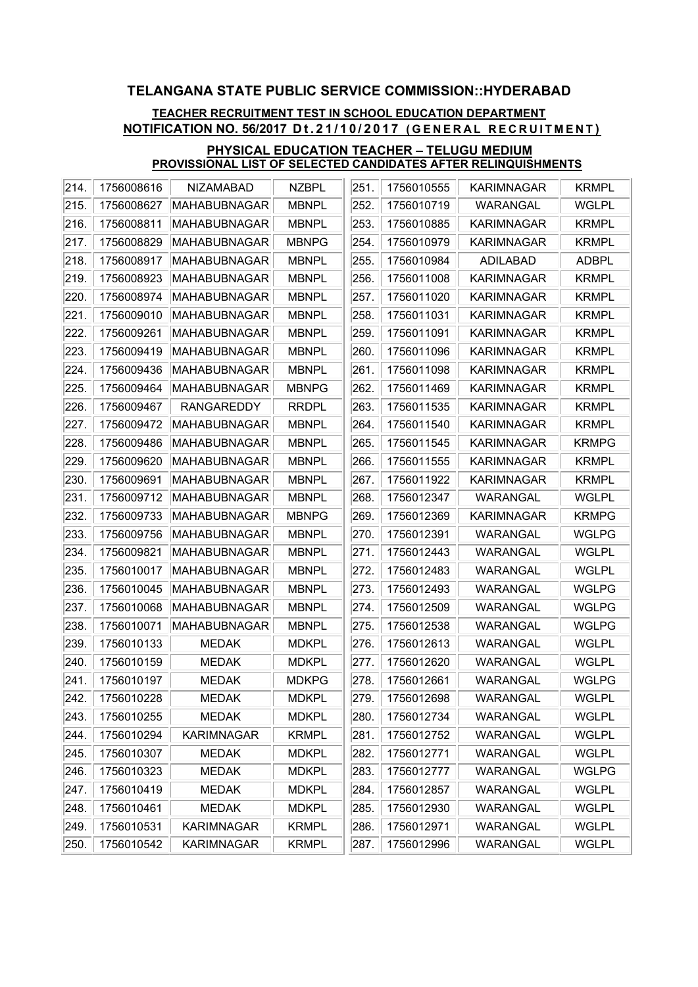## TEACHER RECRUITMENT TEST IN SCHOOL EDUCATION DEPARTMENT NOTIFICATION NO. 56/2017 Dt.21/10/2017 (GENERAL RECRUITMENT)

| 214.     | 1756008616 | <b>NIZAMABAD</b>    | <b>NZBPL</b> | 251. | 1756010555 | <b>KARIMNAGAR</b> | <b>KRMPL</b> |
|----------|------------|---------------------|--------------|------|------------|-------------------|--------------|
| 215.     | 1756008627 | MAHABUBNAGAR        | <b>MBNPL</b> | 252. | 1756010719 | <b>WARANGAL</b>   | <b>WGLPL</b> |
| 216.     | 1756008811 | MAHABUBNAGAR        | <b>MBNPL</b> | 253. | 1756010885 | <b>KARIMNAGAR</b> | <b>KRMPL</b> |
| 217.     | 1756008829 | MAHABUBNAGAR        | <b>MBNPG</b> | 254. | 1756010979 | <b>KARIMNAGAR</b> | <b>KRMPL</b> |
| 218.     | 1756008917 | MAHABUBNAGAR        | <b>MBNPL</b> | 255. | 1756010984 | <b>ADILABAD</b>   | <b>ADBPL</b> |
| 219.     | 1756008923 | MAHABUBNAGAR        | <b>MBNPL</b> | 256. | 1756011008 | <b>KARIMNAGAR</b> | <b>KRMPL</b> |
| 220.     | 1756008974 | MAHABUBNAGAR        | <b>MBNPL</b> | 257. | 1756011020 | <b>KARIMNAGAR</b> | <b>KRMPL</b> |
| 221.     | 1756009010 | MAHABUBNAGAR        | <b>MBNPL</b> | 258. | 1756011031 | <b>KARIMNAGAR</b> | <b>KRMPL</b> |
| 222.     | 1756009261 | MAHABUBNAGAR        | <b>MBNPL</b> | 259. | 1756011091 | <b>KARIMNAGAR</b> | <b>KRMPL</b> |
| 223.     | 1756009419 | MAHABUBNAGAR        | <b>MBNPL</b> | 260. | 1756011096 | <b>KARIMNAGAR</b> | <b>KRMPL</b> |
| 224.     | 1756009436 | MAHABUBNAGAR        | <b>MBNPL</b> | 261. | 1756011098 | <b>KARIMNAGAR</b> | <b>KRMPL</b> |
| 225.     | 1756009464 | MAHABUBNAGAR        | <b>MBNPG</b> | 262. | 1756011469 | <b>KARIMNAGAR</b> | <b>KRMPL</b> |
| 226.     | 1756009467 | <b>RANGAREDDY</b>   | <b>RRDPL</b> | 263. | 1756011535 | <b>KARIMNAGAR</b> | <b>KRMPL</b> |
| 227.     | 1756009472 | MAHABUBNAGAR        | <b>MBNPL</b> | 264. | 1756011540 | <b>KARIMNAGAR</b> | <b>KRMPL</b> |
| 228.     | 1756009486 | MAHABUBNAGAR        | <b>MBNPL</b> | 265. | 1756011545 | <b>KARIMNAGAR</b> | <b>KRMPG</b> |
| 229.     | 1756009620 | MAHABUBNAGAR        | <b>MBNPL</b> | 266. | 1756011555 | <b>KARIMNAGAR</b> | <b>KRMPL</b> |
| 230.     | 1756009691 | MAHABUBNAGAR        | <b>MBNPL</b> | 267. | 1756011922 | <b>KARIMNAGAR</b> | <b>KRMPL</b> |
| 231.     | 1756009712 | MAHABUBNAGAR        | <b>MBNPL</b> | 268. | 1756012347 | <b>WARANGAL</b>   | <b>WGLPL</b> |
| 232.     | 1756009733 | MAHABUBNAGAR        | <b>MBNPG</b> | 269. | 1756012369 | <b>KARIMNAGAR</b> | <b>KRMPG</b> |
| 233.     | 1756009756 | MAHABUBNAGAR        | <b>MBNPL</b> | 270. | 1756012391 | <b>WARANGAL</b>   | <b>WGLPG</b> |
| 234.     | 1756009821 | MAHABUBNAGAR        | <b>MBNPL</b> | 271. | 1756012443 | <b>WARANGAL</b>   | <b>WGLPL</b> |
| 235.     | 1756010017 | MAHABUBNAGAR        | <b>MBNPL</b> | 272. | 1756012483 | WARANGAL          | <b>WGLPL</b> |
| 236.     | 1756010045 | <b>MAHABUBNAGAR</b> | <b>MBNPL</b> | 273. | 1756012493 | <b>WARANGAL</b>   | <b>WGLPG</b> |
| 237.     | 1756010068 | MAHABUBNAGAR        | <b>MBNPL</b> | 274. | 1756012509 | <b>WARANGAL</b>   | <b>WGLPG</b> |
| 238.     | 1756010071 | MAHABUBNAGAR        | <b>MBNPL</b> | 275. | 1756012538 | <b>WARANGAL</b>   | <b>WGLPG</b> |
| 239.     | 1756010133 | <b>MEDAK</b>        | <b>MDKPL</b> | 276. | 1756012613 | WARANGAL          | <b>WGLPL</b> |
| 240.     | 1756010159 | <b>MEDAK</b>        | <b>MDKPL</b> | 277. | 1756012620 | <b>WARANGAL</b>   | <b>WGLPL</b> |
| $ 241$ . | 1756010197 | <b>MEDAK</b>        | <b>MDKPG</b> | 278. | 1756012661 | <b>WARANGAL</b>   | <b>WGLPG</b> |
| 242.     | 1756010228 | <b>MEDAK</b>        | <b>MDKPL</b> | 279. | 1756012698 | WARANGAL          | <b>WGLPL</b> |
| 243.     | 1756010255 | <b>MEDAK</b>        | <b>MDKPL</b> | 280. | 1756012734 | WARANGAL          | <b>WGLPL</b> |
| 244.     | 1756010294 | <b>KARIMNAGAR</b>   | <b>KRMPL</b> | 281. | 1756012752 | WARANGAL          | <b>WGLPL</b> |
| 245.     | 1756010307 | <b>MEDAK</b>        | <b>MDKPL</b> | 282. | 1756012771 | WARANGAL          | <b>WGLPL</b> |
| 246.     | 1756010323 | <b>MEDAK</b>        | <b>MDKPL</b> | 283. | 1756012777 | WARANGAL          | <b>WGLPG</b> |
| 247.     | 1756010419 | <b>MEDAK</b>        | <b>MDKPL</b> | 284. | 1756012857 | WARANGAL          | <b>WGLPL</b> |
| 248.     | 1756010461 | <b>MEDAK</b>        | <b>MDKPL</b> | 285. | 1756012930 | WARANGAL          | <b>WGLPL</b> |
| 249.     | 1756010531 | <b>KARIMNAGAR</b>   | <b>KRMPL</b> | 286. | 1756012971 | WARANGAL          | <b>WGLPL</b> |
| 250.     | 1756010542 | <b>KARIMNAGAR</b>   | <b>KRMPL</b> | 287. | 1756012996 | WARANGAL          | <b>WGLPL</b> |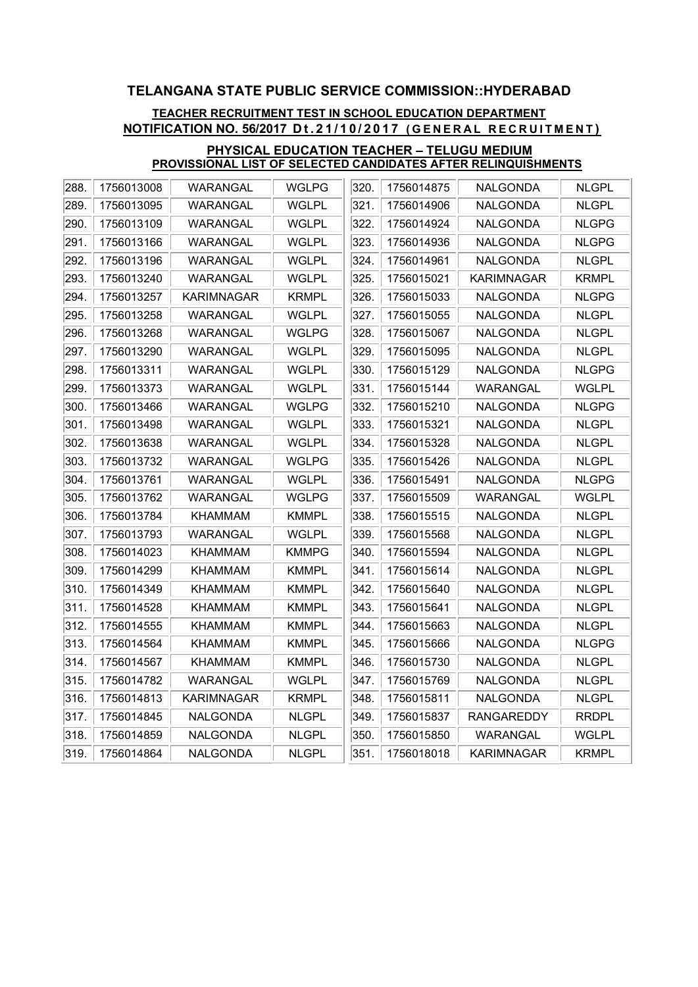## TEACHER RECRUITMENT TEST IN SCHOOL EDUCATION DEPARTMENT NOTIFICATION NO. 56/2017 Dt.21/10/2017 (GENERAL RECRUITMENT)

| 1756013008<br>1756014875<br>NALGONDA<br>289.<br><b>WGLPL</b><br>321.<br>1756013095<br>WARANGAL<br>1756014906<br><b>NALGONDA</b><br><b>NLGPL</b><br>322.<br>1756013109<br>WARANGAL<br><b>WGLPL</b><br>1756014924<br>NALGONDA<br><b>NLGPG</b><br>323.<br><b>WGLPL</b><br>1756014936<br>1756013166<br>WARANGAL<br>NALGONDA<br><b>NLGPG</b><br><b>WGLPL</b><br>324.<br>1756013196<br>WARANGAL<br>1756014961<br><b>NALGONDA</b><br><b>NLGPL</b><br>325.<br>1756013240<br>WARANGAL<br><b>WGLPL</b><br>1756015021<br>KARIMNAGAR<br><b>KRMPL</b><br>326.<br>1756013257<br><b>KARIMNAGAR</b><br><b>KRMPL</b><br>1756015033<br><b>NALGONDA</b><br><b>NLGPG</b><br><b>WGLPL</b><br>1756013258<br>WARANGAL<br>327.<br>1756015055<br><b>NALGONDA</b><br><b>NLGPL</b><br>328.<br>WARANGAL<br><b>WGLPG</b><br><b>NLGPL</b><br>1756013268<br>1756015067<br>NALGONDA<br><b>WGLPL</b><br>329.<br><b>NLGPL</b><br>1756013290<br>WARANGAL<br>1756015095<br>NALGONDA<br><b>WGLPL</b><br>330.<br>1756013311<br>WARANGAL<br>1756015129<br><b>NALGONDA</b><br><b>NLGPG</b><br>331.<br>1756013373<br>WARANGAL<br>WGLPL<br>1756015144<br>WARANGAL<br>WGLPL<br>332.<br>1756013466<br>WARANGAL<br><b>WGLPG</b><br>1756015210<br><b>NALGONDA</b><br><b>NLGPG</b><br>333.<br>1756013498<br>WARANGAL<br><b>WGLPL</b><br>1756015321<br><b>NALGONDA</b><br><b>NLGPL</b><br>334.<br>1756013638<br>WARANGAL<br><b>WGLPL</b><br>1756015328<br><b>NALGONDA</b><br><b>NLGPL</b><br>335.<br>1756013732<br>WARANGAL<br>WGLPG<br>1756015426<br><b>NALGONDA</b><br><b>NLGPL</b><br>336.<br>1756013761<br><b>WGLPL</b><br>1756015491<br><b>NALGONDA</b><br>WARANGAL<br><b>NLGPG</b><br>337.<br>WARANGAL<br><b>WGLPG</b><br><b>WARANGAL</b><br><b>WGLPL</b><br>1756013762<br>1756015509<br>338.<br><b>NLGPL</b><br>1756013784<br>KHAMMAM<br><b>KMMPL</b><br>1756015515<br><b>NALGONDA</b><br>339.<br><b>WGLPL</b><br><b>NLGPL</b><br>1756013793<br>WARANGAL<br>1756015568<br>NALGONDA<br>1756014023<br><b>KHAMMAM</b><br>340.<br>1756015594<br><b>NLGPL</b><br><b>KMMPG</b><br><b>NALGONDA</b><br><b>KHAMMAM</b><br>341.<br><b>NLGPL</b><br>1756014299<br><b>KMMPL</b><br>1756015614<br>NALGONDA<br>1756014349<br>342.<br><b>NLGPL</b><br>KHAMMAM<br><b>KMMPL</b><br>1756015640<br><b>NALGONDA</b><br><b>KMMPL</b><br>343.<br>1756014528<br><b>KHAMMAM</b><br>1756015641<br><b>NALGONDA</b><br><b>NLGPL</b><br>344.<br>1756014555<br>KHAMMAM<br><b>KMMPL</b><br>1756015663<br>NALGONDA<br><b>NLGPL</b><br>345.<br>1756014564<br><b>KHAMMAM</b><br><b>KMMPL</b><br>1756015666<br><b>NALGONDA</b><br><b>NLGPG</b><br>1756014567<br><b>KHAMMAM</b><br><b>KMMPL</b><br>346.<br>1756015730<br><b>NALGONDA</b><br><b>NLGPL</b><br>347.<br>1756014782<br><b>WARANGAL</b><br><b>WGLPL</b><br>1756015769<br><b>NALGONDA</b><br><b>NLGPL</b><br><b>KRMPL</b><br>348.<br>1756014813<br>KARIMNAGAR<br>1756015811<br>NALGONDA<br><b>NLGPL</b><br>1756014845<br><b>NLGPL</b><br>349.<br>1756015837<br><b>RANGAREDDY</b><br><b>RRDPL</b><br><b>NALGONDA</b><br>350.<br>WARANGAL<br>1756014859<br>NALGONDA<br><b>NLGPL</b><br>1756015850<br><b>WGLPL</b><br>351.<br>1756014864<br>NALGONDA<br><b>NLGPL</b><br>1756018018<br>KARIMNAGAR<br><b>KRMPL</b> |      |          |              |      |  |              |
|--------------------------------------------------------------------------------------------------------------------------------------------------------------------------------------------------------------------------------------------------------------------------------------------------------------------------------------------------------------------------------------------------------------------------------------------------------------------------------------------------------------------------------------------------------------------------------------------------------------------------------------------------------------------------------------------------------------------------------------------------------------------------------------------------------------------------------------------------------------------------------------------------------------------------------------------------------------------------------------------------------------------------------------------------------------------------------------------------------------------------------------------------------------------------------------------------------------------------------------------------------------------------------------------------------------------------------------------------------------------------------------------------------------------------------------------------------------------------------------------------------------------------------------------------------------------------------------------------------------------------------------------------------------------------------------------------------------------------------------------------------------------------------------------------------------------------------------------------------------------------------------------------------------------------------------------------------------------------------------------------------------------------------------------------------------------------------------------------------------------------------------------------------------------------------------------------------------------------------------------------------------------------------------------------------------------------------------------------------------------------------------------------------------------------------------------------------------------------------------------------------------------------------------------------------------------------------------------------------------------------------------------------------------------------------------------------------------------------------------------------------------------------------------------------------------------------------------------------------------------------------------------------------------------------------------------------------------------------------------------------------------------------------------------------------------------------------------------------------------------------------------------------------------------------------------------|------|----------|--------------|------|--|--------------|
|                                                                                                                                                                                                                                                                                                                                                                                                                                                                                                                                                                                                                                                                                                                                                                                                                                                                                                                                                                                                                                                                                                                                                                                                                                                                                                                                                                                                                                                                                                                                                                                                                                                                                                                                                                                                                                                                                                                                                                                                                                                                                                                                                                                                                                                                                                                                                                                                                                                                                                                                                                                                                                                                                                                                                                                                                                                                                                                                                                                                                                                                                                                                                                                            | 288. | WARANGAL | <b>WGLPG</b> | 320. |  | <b>NLGPL</b> |
|                                                                                                                                                                                                                                                                                                                                                                                                                                                                                                                                                                                                                                                                                                                                                                                                                                                                                                                                                                                                                                                                                                                                                                                                                                                                                                                                                                                                                                                                                                                                                                                                                                                                                                                                                                                                                                                                                                                                                                                                                                                                                                                                                                                                                                                                                                                                                                                                                                                                                                                                                                                                                                                                                                                                                                                                                                                                                                                                                                                                                                                                                                                                                                                            |      |          |              |      |  |              |
|                                                                                                                                                                                                                                                                                                                                                                                                                                                                                                                                                                                                                                                                                                                                                                                                                                                                                                                                                                                                                                                                                                                                                                                                                                                                                                                                                                                                                                                                                                                                                                                                                                                                                                                                                                                                                                                                                                                                                                                                                                                                                                                                                                                                                                                                                                                                                                                                                                                                                                                                                                                                                                                                                                                                                                                                                                                                                                                                                                                                                                                                                                                                                                                            | 290. |          |              |      |  |              |
|                                                                                                                                                                                                                                                                                                                                                                                                                                                                                                                                                                                                                                                                                                                                                                                                                                                                                                                                                                                                                                                                                                                                                                                                                                                                                                                                                                                                                                                                                                                                                                                                                                                                                                                                                                                                                                                                                                                                                                                                                                                                                                                                                                                                                                                                                                                                                                                                                                                                                                                                                                                                                                                                                                                                                                                                                                                                                                                                                                                                                                                                                                                                                                                            | 291. |          |              |      |  |              |
|                                                                                                                                                                                                                                                                                                                                                                                                                                                                                                                                                                                                                                                                                                                                                                                                                                                                                                                                                                                                                                                                                                                                                                                                                                                                                                                                                                                                                                                                                                                                                                                                                                                                                                                                                                                                                                                                                                                                                                                                                                                                                                                                                                                                                                                                                                                                                                                                                                                                                                                                                                                                                                                                                                                                                                                                                                                                                                                                                                                                                                                                                                                                                                                            | 292. |          |              |      |  |              |
|                                                                                                                                                                                                                                                                                                                                                                                                                                                                                                                                                                                                                                                                                                                                                                                                                                                                                                                                                                                                                                                                                                                                                                                                                                                                                                                                                                                                                                                                                                                                                                                                                                                                                                                                                                                                                                                                                                                                                                                                                                                                                                                                                                                                                                                                                                                                                                                                                                                                                                                                                                                                                                                                                                                                                                                                                                                                                                                                                                                                                                                                                                                                                                                            | 293. |          |              |      |  |              |
|                                                                                                                                                                                                                                                                                                                                                                                                                                                                                                                                                                                                                                                                                                                                                                                                                                                                                                                                                                                                                                                                                                                                                                                                                                                                                                                                                                                                                                                                                                                                                                                                                                                                                                                                                                                                                                                                                                                                                                                                                                                                                                                                                                                                                                                                                                                                                                                                                                                                                                                                                                                                                                                                                                                                                                                                                                                                                                                                                                                                                                                                                                                                                                                            | 294. |          |              |      |  |              |
|                                                                                                                                                                                                                                                                                                                                                                                                                                                                                                                                                                                                                                                                                                                                                                                                                                                                                                                                                                                                                                                                                                                                                                                                                                                                                                                                                                                                                                                                                                                                                                                                                                                                                                                                                                                                                                                                                                                                                                                                                                                                                                                                                                                                                                                                                                                                                                                                                                                                                                                                                                                                                                                                                                                                                                                                                                                                                                                                                                                                                                                                                                                                                                                            | 295. |          |              |      |  |              |
|                                                                                                                                                                                                                                                                                                                                                                                                                                                                                                                                                                                                                                                                                                                                                                                                                                                                                                                                                                                                                                                                                                                                                                                                                                                                                                                                                                                                                                                                                                                                                                                                                                                                                                                                                                                                                                                                                                                                                                                                                                                                                                                                                                                                                                                                                                                                                                                                                                                                                                                                                                                                                                                                                                                                                                                                                                                                                                                                                                                                                                                                                                                                                                                            | 296. |          |              |      |  |              |
|                                                                                                                                                                                                                                                                                                                                                                                                                                                                                                                                                                                                                                                                                                                                                                                                                                                                                                                                                                                                                                                                                                                                                                                                                                                                                                                                                                                                                                                                                                                                                                                                                                                                                                                                                                                                                                                                                                                                                                                                                                                                                                                                                                                                                                                                                                                                                                                                                                                                                                                                                                                                                                                                                                                                                                                                                                                                                                                                                                                                                                                                                                                                                                                            | 297. |          |              |      |  |              |
|                                                                                                                                                                                                                                                                                                                                                                                                                                                                                                                                                                                                                                                                                                                                                                                                                                                                                                                                                                                                                                                                                                                                                                                                                                                                                                                                                                                                                                                                                                                                                                                                                                                                                                                                                                                                                                                                                                                                                                                                                                                                                                                                                                                                                                                                                                                                                                                                                                                                                                                                                                                                                                                                                                                                                                                                                                                                                                                                                                                                                                                                                                                                                                                            | 298. |          |              |      |  |              |
|                                                                                                                                                                                                                                                                                                                                                                                                                                                                                                                                                                                                                                                                                                                                                                                                                                                                                                                                                                                                                                                                                                                                                                                                                                                                                                                                                                                                                                                                                                                                                                                                                                                                                                                                                                                                                                                                                                                                                                                                                                                                                                                                                                                                                                                                                                                                                                                                                                                                                                                                                                                                                                                                                                                                                                                                                                                                                                                                                                                                                                                                                                                                                                                            | 299. |          |              |      |  |              |
|                                                                                                                                                                                                                                                                                                                                                                                                                                                                                                                                                                                                                                                                                                                                                                                                                                                                                                                                                                                                                                                                                                                                                                                                                                                                                                                                                                                                                                                                                                                                                                                                                                                                                                                                                                                                                                                                                                                                                                                                                                                                                                                                                                                                                                                                                                                                                                                                                                                                                                                                                                                                                                                                                                                                                                                                                                                                                                                                                                                                                                                                                                                                                                                            | 300. |          |              |      |  |              |
|                                                                                                                                                                                                                                                                                                                                                                                                                                                                                                                                                                                                                                                                                                                                                                                                                                                                                                                                                                                                                                                                                                                                                                                                                                                                                                                                                                                                                                                                                                                                                                                                                                                                                                                                                                                                                                                                                                                                                                                                                                                                                                                                                                                                                                                                                                                                                                                                                                                                                                                                                                                                                                                                                                                                                                                                                                                                                                                                                                                                                                                                                                                                                                                            | 301. |          |              |      |  |              |
|                                                                                                                                                                                                                                                                                                                                                                                                                                                                                                                                                                                                                                                                                                                                                                                                                                                                                                                                                                                                                                                                                                                                                                                                                                                                                                                                                                                                                                                                                                                                                                                                                                                                                                                                                                                                                                                                                                                                                                                                                                                                                                                                                                                                                                                                                                                                                                                                                                                                                                                                                                                                                                                                                                                                                                                                                                                                                                                                                                                                                                                                                                                                                                                            | 302. |          |              |      |  |              |
|                                                                                                                                                                                                                                                                                                                                                                                                                                                                                                                                                                                                                                                                                                                                                                                                                                                                                                                                                                                                                                                                                                                                                                                                                                                                                                                                                                                                                                                                                                                                                                                                                                                                                                                                                                                                                                                                                                                                                                                                                                                                                                                                                                                                                                                                                                                                                                                                                                                                                                                                                                                                                                                                                                                                                                                                                                                                                                                                                                                                                                                                                                                                                                                            | 303. |          |              |      |  |              |
|                                                                                                                                                                                                                                                                                                                                                                                                                                                                                                                                                                                                                                                                                                                                                                                                                                                                                                                                                                                                                                                                                                                                                                                                                                                                                                                                                                                                                                                                                                                                                                                                                                                                                                                                                                                                                                                                                                                                                                                                                                                                                                                                                                                                                                                                                                                                                                                                                                                                                                                                                                                                                                                                                                                                                                                                                                                                                                                                                                                                                                                                                                                                                                                            | 304. |          |              |      |  |              |
|                                                                                                                                                                                                                                                                                                                                                                                                                                                                                                                                                                                                                                                                                                                                                                                                                                                                                                                                                                                                                                                                                                                                                                                                                                                                                                                                                                                                                                                                                                                                                                                                                                                                                                                                                                                                                                                                                                                                                                                                                                                                                                                                                                                                                                                                                                                                                                                                                                                                                                                                                                                                                                                                                                                                                                                                                                                                                                                                                                                                                                                                                                                                                                                            | 305. |          |              |      |  |              |
|                                                                                                                                                                                                                                                                                                                                                                                                                                                                                                                                                                                                                                                                                                                                                                                                                                                                                                                                                                                                                                                                                                                                                                                                                                                                                                                                                                                                                                                                                                                                                                                                                                                                                                                                                                                                                                                                                                                                                                                                                                                                                                                                                                                                                                                                                                                                                                                                                                                                                                                                                                                                                                                                                                                                                                                                                                                                                                                                                                                                                                                                                                                                                                                            | 306. |          |              |      |  |              |
|                                                                                                                                                                                                                                                                                                                                                                                                                                                                                                                                                                                                                                                                                                                                                                                                                                                                                                                                                                                                                                                                                                                                                                                                                                                                                                                                                                                                                                                                                                                                                                                                                                                                                                                                                                                                                                                                                                                                                                                                                                                                                                                                                                                                                                                                                                                                                                                                                                                                                                                                                                                                                                                                                                                                                                                                                                                                                                                                                                                                                                                                                                                                                                                            | 307. |          |              |      |  |              |
|                                                                                                                                                                                                                                                                                                                                                                                                                                                                                                                                                                                                                                                                                                                                                                                                                                                                                                                                                                                                                                                                                                                                                                                                                                                                                                                                                                                                                                                                                                                                                                                                                                                                                                                                                                                                                                                                                                                                                                                                                                                                                                                                                                                                                                                                                                                                                                                                                                                                                                                                                                                                                                                                                                                                                                                                                                                                                                                                                                                                                                                                                                                                                                                            | 308. |          |              |      |  |              |
|                                                                                                                                                                                                                                                                                                                                                                                                                                                                                                                                                                                                                                                                                                                                                                                                                                                                                                                                                                                                                                                                                                                                                                                                                                                                                                                                                                                                                                                                                                                                                                                                                                                                                                                                                                                                                                                                                                                                                                                                                                                                                                                                                                                                                                                                                                                                                                                                                                                                                                                                                                                                                                                                                                                                                                                                                                                                                                                                                                                                                                                                                                                                                                                            | 309. |          |              |      |  |              |
|                                                                                                                                                                                                                                                                                                                                                                                                                                                                                                                                                                                                                                                                                                                                                                                                                                                                                                                                                                                                                                                                                                                                                                                                                                                                                                                                                                                                                                                                                                                                                                                                                                                                                                                                                                                                                                                                                                                                                                                                                                                                                                                                                                                                                                                                                                                                                                                                                                                                                                                                                                                                                                                                                                                                                                                                                                                                                                                                                                                                                                                                                                                                                                                            | 310. |          |              |      |  |              |
|                                                                                                                                                                                                                                                                                                                                                                                                                                                                                                                                                                                                                                                                                                                                                                                                                                                                                                                                                                                                                                                                                                                                                                                                                                                                                                                                                                                                                                                                                                                                                                                                                                                                                                                                                                                                                                                                                                                                                                                                                                                                                                                                                                                                                                                                                                                                                                                                                                                                                                                                                                                                                                                                                                                                                                                                                                                                                                                                                                                                                                                                                                                                                                                            | 311. |          |              |      |  |              |
|                                                                                                                                                                                                                                                                                                                                                                                                                                                                                                                                                                                                                                                                                                                                                                                                                                                                                                                                                                                                                                                                                                                                                                                                                                                                                                                                                                                                                                                                                                                                                                                                                                                                                                                                                                                                                                                                                                                                                                                                                                                                                                                                                                                                                                                                                                                                                                                                                                                                                                                                                                                                                                                                                                                                                                                                                                                                                                                                                                                                                                                                                                                                                                                            | 312. |          |              |      |  |              |
|                                                                                                                                                                                                                                                                                                                                                                                                                                                                                                                                                                                                                                                                                                                                                                                                                                                                                                                                                                                                                                                                                                                                                                                                                                                                                                                                                                                                                                                                                                                                                                                                                                                                                                                                                                                                                                                                                                                                                                                                                                                                                                                                                                                                                                                                                                                                                                                                                                                                                                                                                                                                                                                                                                                                                                                                                                                                                                                                                                                                                                                                                                                                                                                            | 313. |          |              |      |  |              |
|                                                                                                                                                                                                                                                                                                                                                                                                                                                                                                                                                                                                                                                                                                                                                                                                                                                                                                                                                                                                                                                                                                                                                                                                                                                                                                                                                                                                                                                                                                                                                                                                                                                                                                                                                                                                                                                                                                                                                                                                                                                                                                                                                                                                                                                                                                                                                                                                                                                                                                                                                                                                                                                                                                                                                                                                                                                                                                                                                                                                                                                                                                                                                                                            | 314. |          |              |      |  |              |
|                                                                                                                                                                                                                                                                                                                                                                                                                                                                                                                                                                                                                                                                                                                                                                                                                                                                                                                                                                                                                                                                                                                                                                                                                                                                                                                                                                                                                                                                                                                                                                                                                                                                                                                                                                                                                                                                                                                                                                                                                                                                                                                                                                                                                                                                                                                                                                                                                                                                                                                                                                                                                                                                                                                                                                                                                                                                                                                                                                                                                                                                                                                                                                                            | 315. |          |              |      |  |              |
|                                                                                                                                                                                                                                                                                                                                                                                                                                                                                                                                                                                                                                                                                                                                                                                                                                                                                                                                                                                                                                                                                                                                                                                                                                                                                                                                                                                                                                                                                                                                                                                                                                                                                                                                                                                                                                                                                                                                                                                                                                                                                                                                                                                                                                                                                                                                                                                                                                                                                                                                                                                                                                                                                                                                                                                                                                                                                                                                                                                                                                                                                                                                                                                            | 316. |          |              |      |  |              |
|                                                                                                                                                                                                                                                                                                                                                                                                                                                                                                                                                                                                                                                                                                                                                                                                                                                                                                                                                                                                                                                                                                                                                                                                                                                                                                                                                                                                                                                                                                                                                                                                                                                                                                                                                                                                                                                                                                                                                                                                                                                                                                                                                                                                                                                                                                                                                                                                                                                                                                                                                                                                                                                                                                                                                                                                                                                                                                                                                                                                                                                                                                                                                                                            | 317. |          |              |      |  |              |
|                                                                                                                                                                                                                                                                                                                                                                                                                                                                                                                                                                                                                                                                                                                                                                                                                                                                                                                                                                                                                                                                                                                                                                                                                                                                                                                                                                                                                                                                                                                                                                                                                                                                                                                                                                                                                                                                                                                                                                                                                                                                                                                                                                                                                                                                                                                                                                                                                                                                                                                                                                                                                                                                                                                                                                                                                                                                                                                                                                                                                                                                                                                                                                                            | 318. |          |              |      |  |              |
|                                                                                                                                                                                                                                                                                                                                                                                                                                                                                                                                                                                                                                                                                                                                                                                                                                                                                                                                                                                                                                                                                                                                                                                                                                                                                                                                                                                                                                                                                                                                                                                                                                                                                                                                                                                                                                                                                                                                                                                                                                                                                                                                                                                                                                                                                                                                                                                                                                                                                                                                                                                                                                                                                                                                                                                                                                                                                                                                                                                                                                                                                                                                                                                            | 319. |          |              |      |  |              |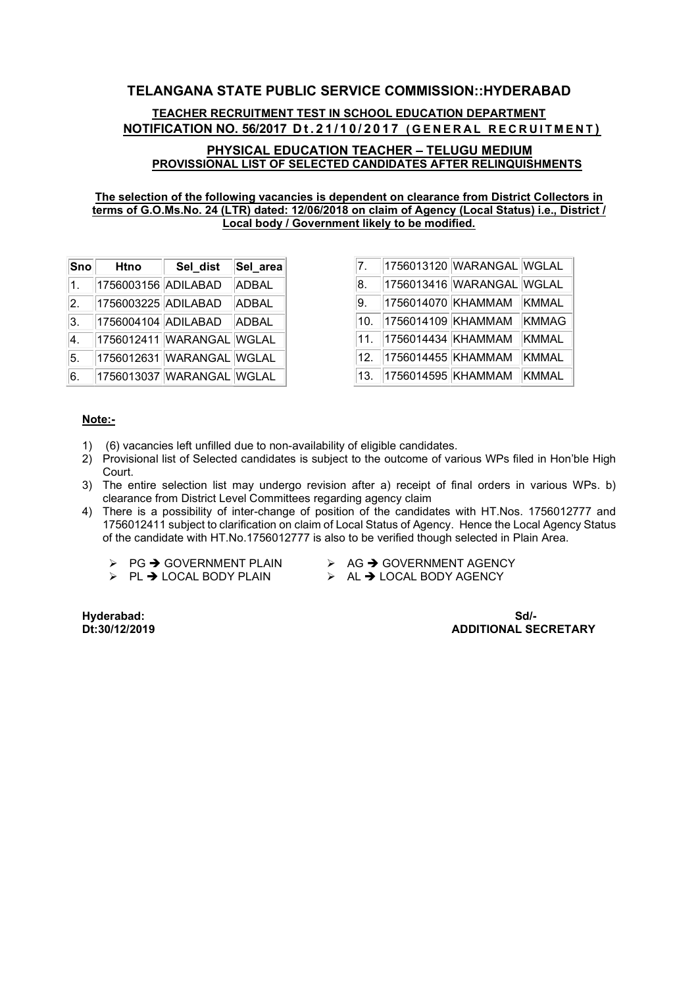TEACHER RECRUITMENT TEST IN SCHOOL EDUCATION DEPARTMENT NOTIFICATION NO. 56/2017 Dt.21/10/2017 (GENERAL RECRUITMENT)

#### PHYSICAL EDUCATION TEACHER – TELUGU MEDIUM PROVISSIONAL LIST OF SELECTED CANDIDATES AFTER RELINQUISHMENTS

#### The selection of the following vacancies is dependent on clearance from District Collectors in terms of G.O.Ms.No. 24 (LTR) dated: 12/06/2018 on claim of Agency (Local Status) i.e., District / Local body / Government likely to be modified.

| Sno              | <b>Htno</b>         | Sel dist                  | Sel_area     |
|------------------|---------------------|---------------------------|--------------|
| 1.               | 1756003156 ADILABAD |                           | <b>ADBAL</b> |
| $\overline{2}$ . | 1756003225 ADILABAD |                           | <b>ADBAL</b> |
| 3.               | 1756004104 ADILABAD |                           | <b>ADBAL</b> |
| 4.               |                     | 1756012411 WARANGAL WGLAL |              |
| 5.               |                     | 1756012631 WARANGAL WGLAL |              |
| 6.               |                     | 1756013037 WARANGAL WGLAL |              |

| 7.  |                    | 1756013120 WARANGAL WGLAL |              |
|-----|--------------------|---------------------------|--------------|
| 8.  |                    | 1756013416 WARANGAL WGLAL |              |
| 9.  | 1756014070 KHAMMAM |                           | KMMAL        |
| 10. | 1756014109 KHAMMAM |                           | <b>KMMAG</b> |
| 11. | 1756014434 KHAMMAM |                           | <b>KMMAL</b> |
| 12. | 1756014455 KHAMMAM |                           | <b>KMMAL</b> |
| 13. | 1756014595 KHAMMAM |                           | <b>KMMAL</b> |

#### Note:-

- 1) (6) vacancies left unfilled due to non-availability of eligible candidates.
- 2) Provisional list of Selected candidates is subject to the outcome of various WPs filed in Hon'ble High Court.
- 3) The entire selection list may undergo revision after a) receipt of final orders in various WPs. b) clearance from District Level Committees regarding agency claim
- 4) There is a possibility of inter-change of position of the candidates with HT.Nos. 1756012777 and 1756012411 subject to clarification on claim of Local Status of Agency. Hence the Local Agency Status of the candidate with HT.No.1756012777 is also to be verified though selected in Plain Area.
	-
	- $\triangleright$  PL  $\rightarrow$  LOCAL BODY PLAIN
	- $\geq$  PG  $\rightarrow$  GOVERNMENT PLAIN  $\geq$  AG  $\rightarrow$  GOVERNMENT AGENCY<br> $\geq$  PI  $\rightarrow$  LOCAL BODY PLAIN  $\geq$  AL  $\rightarrow$  LOCAL BODY AGENCY
		-

Hyderabad: Sd/- **ADDITIONAL SECRETARY**